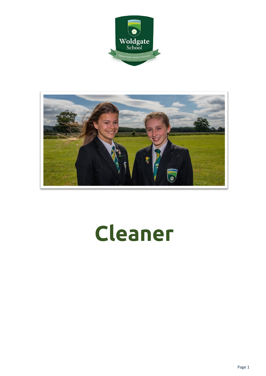



# **Cleaner**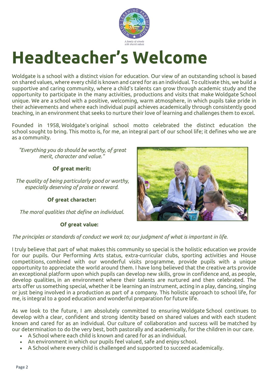

## **Headteacher's Welcome**

Woldgate is a school with a distinct vision for education. Our view of an outstanding school is based on shared values, where every child is known and cared for as an individual. To cultivate this, we build a supportive and caring community, where a child's talents can grow through academic study and the opportunity to participate in the many activities, productions and visits that make Woldgate School unique. We are a school with a positive, welcoming, warm atmosphere, in which pupils take pride in their achievements and where each individual pupil achieves academically through consistently good teaching, in an environment that seeks to nurture their love of learning and challenges them to excel.

Founded in 1958, Woldgate's original school motto celebrated the distinct education the school sought to bring. This motto is, for me, an integral part of our school life; it defines who we are as a community.

*"Everything you do should be worthy, of great merit, character and value."*

#### **Of great merit:**

*The quality of being particularly good or worthy, especially deserving of praise or reward.*

#### **Of great character:**

*The moral qualities that define an individual.*

### **Of great value:**



### *The principles or standards of conduct we work to; our judgment of what is important in life.*

I truly believe that part of what makes this community so special is the holistic education we provide for our pupils. Our Performing Arts status, extra-curricular clubs, sporting activities and House competitions, combined with our wonderful visits programme, provide pupils with a unique opportunity to appreciate the world around them. I have long believed that the creative arts provide an exceptional platform upon which pupils can develop new skills, grow in confidence and, as people, develop qualities, in an environment where their talents are nurtured and then celebrated. The arts offer us something special, whether it be learning an instrument, acting in a play, dancing, singing or just being involved in a production as part of a company. This holistic approach to school life, for me, is integral to a good education and wonderful preparation for future life.

As we look to the future, I am absolutely committed to ensuring Woldgate School continues to develop with a clear, confident and strong identity based on shared values and with each student known and cared for as an individual. Our culture of collaboration and success will be matched by our determination to do the very best, both pastorally and academically, for the children in our care.

- A School where each child is known and cared for as an individual.
- An environment in which our pupils feel valued, safe and enjoy school.
- A School where every child is challenged and supported to succeed academically.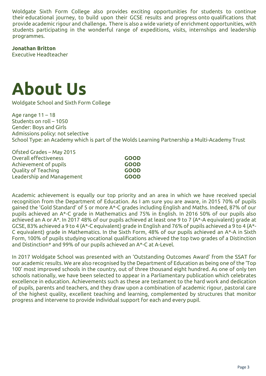Woldgate Sixth Form College also provides exciting opportunities for students to continue their educational journey, to build upon their GCSE results and progress onto qualifications that provide academic rigour and challenge**.** There is also a wide variety of enrichment opportunities, with students participating in the wonderful range of expeditions, visits, internships and leadership programmes.

#### **Jonathan Britton**

Executive Headteacher



Woldgate School and Sixth Form College

Age range  $11 - 18$ Students on roll – 1050 Gender: Boys and Girls Admissions policy: not selective School Type: an Academy which is part of the Wolds Learning Partnership a Multi-Academy Trust

| Ofsted Grades - May 2015  |             |
|---------------------------|-------------|
| Overall effectiveness     | <b>GOOD</b> |
| Achievement of pupils     | <b>GOOD</b> |
| Quality of Teaching       | <b>GOOD</b> |
| Leadership and Management | <b>GOOD</b> |

Academic achievement is equally our top priority and an area in which we have received special recognition from the Department of Education. As I am sure you are aware, in 2015 70% of pupils gained the 'Gold Standard' of 5 or more A\*-C grades including English and Maths. Indeed, 87% of our pupils achieved an A\*-C grade in Mathematics and 75% in English. In 2016 50% of our pupils also achieved an A or A\*. In 2017 48% of our pupils achieved at least one 9 to 7 (A\*-A equivalent) grade at GCSE, 83% achieved a 9 to 4 (A\*-C equivalent) grade in English and 76% of pupils achieved a 9 to 4 (A\*- C equivalent) grade in Mathematics. In the Sixth Form, 48% of our pupils achieved an A\*-A in Sixth Form, 100% of pupils studying vocational qualifications achieved the top two grades of a Distinction and Distinction\* and 99% of our pupils achieved an A\*-C at A-Level.

In 2017 Woldgate School was presented with an 'Outstanding Outcomes Award' from the SSAT for our academic results. We are also recognised by the Department of Education as being one of the 'Top 100' most improved schools in the country, out of three thousand eight hundred. As one of only ten schools nationally, we have been selected to appear in a Parliamentary publication which celebrates excellence in education. Achievements such as these are testament to the hard work and dedication of pupils, parents and teachers, and they draw upon a combination of academic rigour, pastoral care of the highest quality, excellent teaching and learning, complemented by structures that monitor progress and intervene to provide individual support for each and every pupil.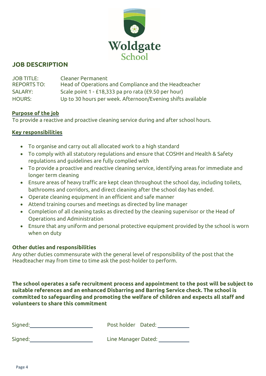

### **JOB DESCRIPTION**

| <b>JOB TITLE:</b><br><b>REPORTS TO:</b> | <b>Cleaner Permanent</b><br>Head of Operations and Compliance and the Headteacher |
|-----------------------------------------|-----------------------------------------------------------------------------------|
| SALARY:                                 | Scale point 1 - £18,333 pa pro rata (£9.50 per hour)                              |
| <b>HOURS:</b>                           | Up to 30 hours per week. Afternoon/Evening shifts available                       |

#### **Purpose of the job**

To provide a reactive and proactive cleaning service during and after school hours.

### **Key responsibilities**

- To organise and carry out all allocated work to a high standard
- To comply with all statutory regulations and ensure that COSHH and Health & Safety regulations and guidelines are fully complied with
- To provide a proactive and reactive cleaning service, identifying areas for immediate and longer term cleaning
- Ensure areas of heavy traffic are kept clean throughout the school day, including toilets, bathrooms and corridors, and direct cleaning after the school day has ended.
- Operate cleaning equipment in an efficient and safe manner
- Attend training courses and meetings as directed by line manager
- Completion of all cleaning tasks as directed by the cleaning supervisor or the Head of Operations and Administration
- Ensure that any uniform and personal protective equipment provided by the school is worn when on duty

#### **Other duties and responsibilities**

Any other duties commensurate with the general level of responsibility of the post that the Headteacher may from time to time ask the post-holder to perform.

**The school operates a safe recruitment process and appointment to the post will be subject to suitable references and an enhanced Disbarring and Barring Service check. The school is committed to safeguarding and promoting the welfare of children and expects all staff and volunteers to share this commitment**

| Signed: | Post holder Dated:  |
|---------|---------------------|
| Signed: | Line Manager Dated: |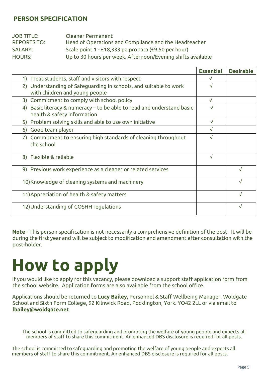### **PERSON SPECIFICATION**

| <b>JOB TITLE:</b><br><b>REPORTS TO:</b> | Cleaner Permanent<br>Head of Operations and Compliance and the Headteacher |
|-----------------------------------------|----------------------------------------------------------------------------|
| SALARY:                                 | Scale point 1 - £18,333 pa pro rata (£9.50 per hour)                       |
| <b>HOURS:</b>                           | Up to 30 hours per week. Afternoon/Evening shifts available                |

|                                                                                                          | <b>Essential</b> | <b>Desirable</b> |
|----------------------------------------------------------------------------------------------------------|------------------|------------------|
| Treat students, staff and visitors with respect                                                          |                  |                  |
| 2) Understanding of Safeguarding in schools, and suitable to work<br>with children and young people      |                  |                  |
| Commitment to comply with school policy<br>3)                                                            | $\sqrt{ }$       |                  |
| Basic literacy & numeracy – to be able to read and understand basic<br>4)<br>health & safety information | √                |                  |
| Problem solving skills and able to use own initiative<br>5)                                              |                  |                  |
| Good team player<br>6)                                                                                   |                  |                  |
| Commitment to ensuring high standards of cleaning throughout<br>7)<br>the school                         |                  |                  |
| 8) Flexible & reliable                                                                                   | √                |                  |
| 9) Previous work experience as a cleaner or related services                                             |                  | √                |
| 10) Knowledge of cleaning systems and machinery                                                          |                  | √                |
| 11) Appreciation of health & safety matters                                                              |                  | √                |
| 12) Understanding of COSHH regulations                                                                   |                  |                  |

**Note -** This person specification is not necessarily a comprehensive definition of the post. It will be during the first year and will be subject to modification and amendment after consultation with the post-holder.

## **How to apply**

If you would like to apply for this vacancy, please download a support staff application form from the school website. Application forms are also available from the school office.

Applications should be returned to **Lucy Bailey,** Personnel & Staff Wellbeing Manager, Woldgate School and Sixth Form College, 92 Kilnwick Road, Pocklington, York. YO42 2LL or via email to **lbailey@woldgate.net**

The school is committed to safeguarding and promoting the welfare of young people and expects all members of staff to share this commitment. An enhanced DBS disclosure is required for all posts.

The school is committed to safeguarding and promoting the welfare of young people and expects all members of staff to share this commitment. An enhanced DBS disclosure is required for all posts.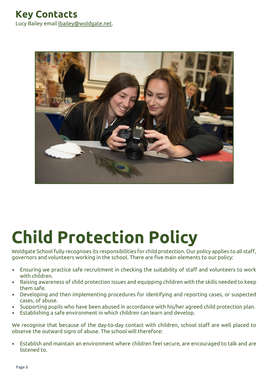## **Key Contacts** Lucy Bailey email [lbailey@woldgate.net.](mailto:lbailey@woldgate.net)



## **Child Protection Policy**

Woldgate School fully recognises its responsibilities for child protection. Our policy applies to all staff, governors and volunteers working in the school. There are five main elements to our policy:

- Ensuring we practice safe recruitment in checking the suitability of staff and volunteers to work with children.
- Raising awareness of child protection issues and equipping children with the skills needed to keep them safe.
- Developing and then implementing procedures for identifying and reporting cases, or suspected cases, of abuse.
- Supporting pupils who have been abused in accordance with his/her agreed child protection plan.
- Establishing a safe environment in which children can learn and develop.

We recognise that because of the day-to-day contact with children, school staff are well placed to observe the outward signs of abuse. The school will therefore:

• Establish and maintain an environment where children feel secure, are encouraged to talk and are listened to.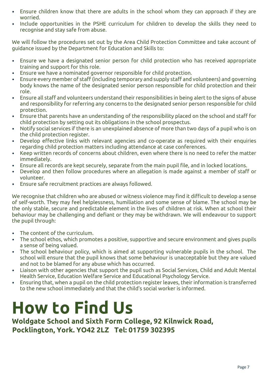- Ensure children know that there are adults in the school whom they can approach if they are worried.
- Include opportunities in the PSHE curriculum for children to develop the skills they need to recognise and stay safe from abuse.

We will follow the procedures set out by the Area Child Protection Committee and take account of guidance issued by the Department for Education and Skills to:

- Ensure we have a designated senior person for child protection who has received appropriate training and support for this role.
- Ensure we have a nominated governor responsible for child protection.
- Ensure every member of staff (including temporary and supply staff and volunteers) and governing body knows the name of the designated senior person responsible for child protection and their role.
- Ensure all staff and volunteers understand their responsibilities in being alert to the signs of abuse and responsibility for referring any concerns to the designated senior person responsible for child protection.
- Ensure that parents have an understanding of the responsibility placed on the school and staff for child protection by setting out its obligations in the school prospectus.
- Notify social services if there is an unexplained absence of more than two days of a pupil who is on the child protection register.
- Develop effective links with relevant agencies and co-operate as required with their enquiries regarding child protection matters including attendance at case conferences.
- Keep written records of concerns about children, even where there is no need to refer the matter immediately.
- Ensure all records are kept securely, separate from the main pupil file, and in locked locations.
- Develop and then follow procedures where an allegation is made against a member of staff or volunteer.
- Ensure safe recruitment practices are always followed.

We recognise that children who are abused or witness violence may find it difficult to develop a sense of self-worth. They may feel helplessness, humiliation and some sense of blame. The school may be the only stable, secure and predictable element in the lives of children at risk. When at school their behaviour may be challenging and defiant or they may be withdrawn. We will endeavour to support the pupil through:

- The content of the curriculum.
- The school ethos, which promotes a positive, supportive and secure environment and gives pupils a sense of being valued.
- The school behaviour policy, which is aimed at supporting vulnerable pupils in the school. The school will ensure that the pupil knows that some behaviour is unacceptable but they are valued and not to be blamed for any abuse which has occurred.
- Liaison with other agencies that support the pupil such as Social Services, Child and Adult Mental Health Service, Education Welfare Service and Educational Psychology Service.
- Ensuring that, when a pupil on the child protection register leaves, their information is transferred to the new school immediately and that the child's social worker is informed.

## **How to Find Us**

**Woldgate School and Sixth Form College, 92 Kilnwick Road, Pocklington, York. YO42 2LZ Tel: 01759 302395**